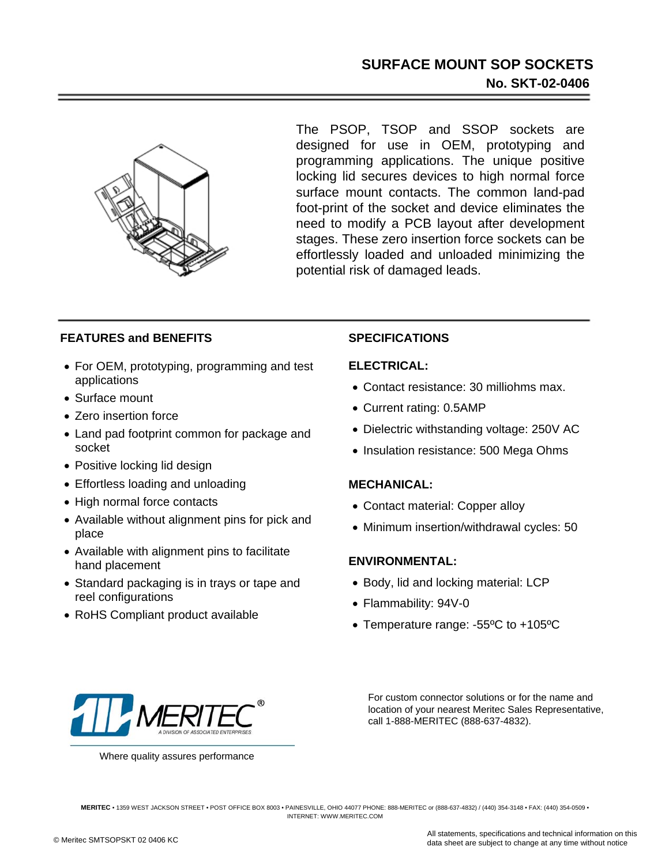## **SURFACE MOUNT SOP SOCKETS No. SKT-02-0406**



The PSOP, TSOP and SSOP sockets are designed for use in OEM, prototyping and programming applications. The unique positive locking lid secures devices to high normal force surface mount contacts. The common land-pad foot-print of the socket and device eliminates the need to modify a PCB layout after development stages. These zero insertion force sockets can be effortlessly loaded and unloaded minimizing the potential risk of damaged leads.

### **FEATURES and BENEFITS**

- For OEM, prototyping, programming and test applications
- Surface mount
- Zero insertion force
- Land pad footprint common for package and socket
- Positive locking lid design
- Effortless loading and unloading
- High normal force contacts
- Available without alignment pins for pick and place
- Available with alignment pins to facilitate hand placement
- Standard packaging is in trays or tape and reel configurations
- RoHS Compliant product available

### **SPECIFICATIONS**

#### **ELECTRICAL:**

- Contact resistance: 30 milliohms max.
- Current rating: 0.5AMP
- Dielectric withstanding voltage: 250V AC
- Insulation resistance: 500 Mega Ohms

#### **MECHANICAL:**

- Contact material: Copper alloy
- Minimum insertion/withdrawal cycles: 50

#### **ENVIRONMENTAL:**

- Body, lid and locking material: LCP
- Flammability: 94V-0
- Temperature range: -55ºC to +105ºC



Where quality assures performance

For custom connector solutions or for the name and location of your nearest Meritec Sales Representative, call 1-888-MERITEC (888-637-4832).

**MERITEC** • 1359 WEST JACKSON STREET • POST OFFICE BOX 8003 • PAINESVILLE, OHIO 44077 PHONE: 888-MERITEC or (888-637-4832) / (440) 354-3148 • FAX: (440) 354-0509 • INTERNET: WWW.MERITEC.COM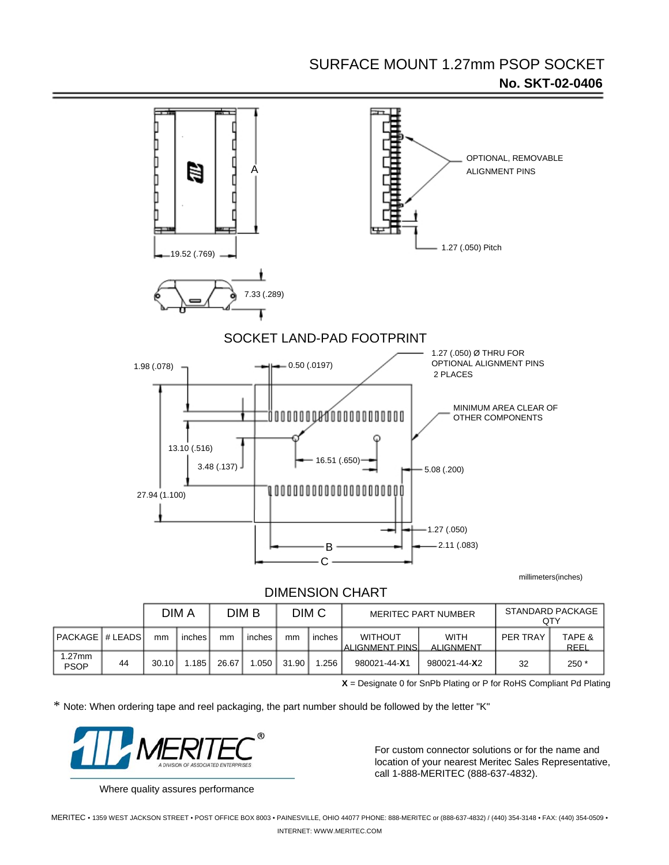# SURFACE MOUNT 1.27mm PSOP SOCKET **No. SKT-02-0406**



millimeters(inches)

### DIMENSION CHART

|                         |    | DIM A |        | DIM B         |        | DIM <sub>C</sub> |        | <b>MERITEC PART NUMBER</b>         |                                 | STANDARD PACKAGE<br>QTY |                |
|-------------------------|----|-------|--------|---------------|--------|------------------|--------|------------------------------------|---------------------------------|-------------------------|----------------|
| <b>IPACKAGE # LEADS</b> |    | mm    | inches | <sub>mm</sub> | inches | mm               | inches | <b>WITHOUT</b><br>IALIGNMENT PINSI | <b>WITH</b><br><b>ALIGNMENT</b> | PER TRAY                | TAPE &<br>REEL |
| .27mm<br>PSOP           | 44 | 30.10 | .185   | 26.67         | .050   | 31.90            | .256،  | 980021-44-X1                       | 980021-44-X2                    | 32                      | $250*$         |

**X** = Designate 0 for SnPb Plating or P for RoHS Compliant Pd Plating

\* Note: When ordering tape and reel packaging, the part number should be followed by the letter "K"



Where quality assures performance

For custom connector solutions or for the name and location of your nearest Meritec Sales Representative, call 1-888-MERITEC (888-637-4832).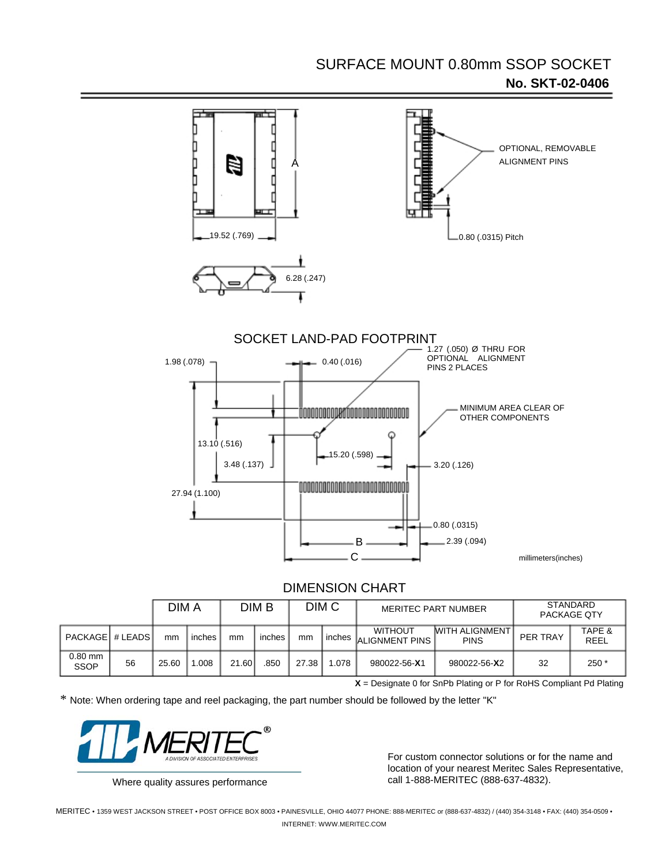# SURFACE MOUNT 0.80mm SSOP SOCKET **No. SKT-02-0406**



## DIMENSION CHART

|                          |    | DIM A |        | DIM B |        | DIM C |        | <b>MERITEC PART NUMBER</b>       |                                             | STANDARD<br>PACKAGE QTY |                |
|--------------------------|----|-------|--------|-------|--------|-------|--------|----------------------------------|---------------------------------------------|-------------------------|----------------|
| PACKAGE # LEADS          |    | mm    | inches | mm    | inches | mm    | inches | <b>WITHOUT</b><br>ALIGNMENT PINS | <b><i>MITH ALIGNMENT</i></b><br><b>PINS</b> | PER TRAY                | TAPE &<br>REEL |
| $0.80$ mm<br><b>SSOP</b> | 56 | 25.60 | .008   | 21.60 | .850   | 27.38 | .078   | 980022-56-X1                     | 980022-56-X2                                | 32                      | $250*$         |

**X** = Designate 0 for SnPb Plating or P for RoHS Compliant Pd Plating

\* Note: When ordering tape and reel packaging, the part number should be followed by the letter "K"



For custom connector solutions or for the name and location of your nearest Meritec Sales Representative, Where quality assures performance call 1-888-MERITEC (888-637-4832).

MERITEC • 1359 WEST JACKSON STREET • POST OFFICE BOX 8003 • PAINESVILLE, OHIO 44077 PHONE: 888-MERITEC or (888-637-4832) / (440) 354-3148 • FAX: (440) 354-0509 • INTERNET: WWW.MERITEC.COM